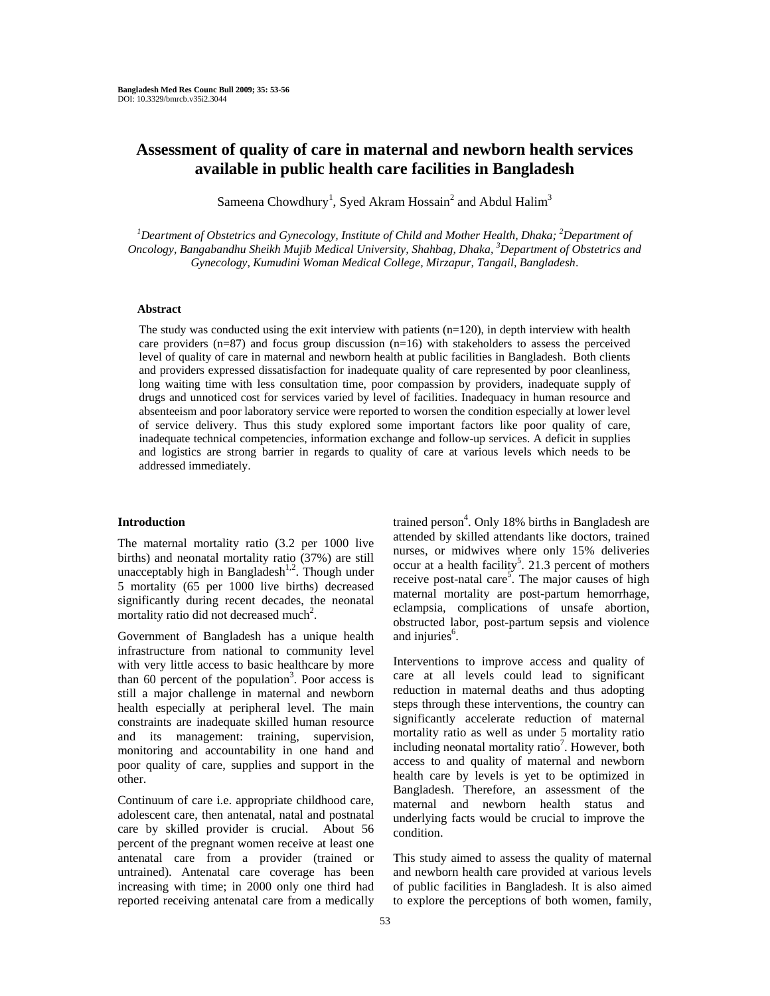# **Assessment of quality of care in maternal and newborn health services available in public health care facilities in Bangladesh**

Sameena Chowdhury<sup>1</sup>, Syed Akram Hossain<sup>2</sup> and Abdul Halim<sup>3</sup>

<sup>1</sup>Deartment of Obstetrics and Gynecology, Institute of Child and Mother Health, Dhaka; <sup>2</sup>Department of *Oncology, Bangabandhu Sheikh Mujib Medical University, Shahbag, Dhaka, 3 Department of Obstetrics and Gynecology, Kumudini Woman Medical College, Mirzapur, Tangail, Bangladesh*.

# **Abstract**

The study was conducted using the exit interview with patients  $(n=120)$ , in depth interview with health care providers  $(n=87)$  and focus group discussion  $(n=16)$  with stakeholders to assess the perceived level of quality of care in maternal and newborn health at public facilities in Bangladesh. Both clients and providers expressed dissatisfaction for inadequate quality of care represented by poor cleanliness, long waiting time with less consultation time, poor compassion by providers, inadequate supply of drugs and unnoticed cost for services varied by level of facilities. Inadequacy in human resource and absenteeism and poor laboratory service were reported to worsen the condition especially at lower level of service delivery. Thus this study explored some important factors like poor quality of care, inadequate technical competencies, information exchange and follow-up services. A deficit in supplies and logistics are strong barrier in regards to quality of care at various levels which needs to be addressed immediately.

### **Introduction**

The maternal mortality ratio (3.2 per 1000 live births) and neonatal mortality ratio (37%) are still unacceptably high in Bangladesh<sup>1,2</sup>. Though under 5 mortality (65 per 1000 live births) decreased significantly during recent decades, the neonatal mortality ratio did not decreased much<sup>2</sup>.

Government of Bangladesh has a unique health infrastructure from national to community level with very little access to basic healthcare by more than  $60$  percent of the population<sup>3</sup>. Poor access is still a major challenge in maternal and newborn health especially at peripheral level. The main constraints are inadequate skilled human resource and its management: training, supervision, monitoring and accountability in one hand and poor quality of care, supplies and support in the other.

Continuum of care i.e. appropriate childhood care, adolescent care, then antenatal, natal and postnatal care by skilled provider is crucial. About 56 percent of the pregnant women receive at least one antenatal care from a provider (trained or untrained). Antenatal care coverage has been increasing with time; in 2000 only one third had reported receiving antenatal care from a medically

trained person<sup>4</sup>. Only 18% births in Bangladesh are attended by skilled attendants like doctors, trained nurses, or midwives where only 15% deliveries occur at a health facility<sup>5</sup>. 21.3 percent of mothers receive post-natal care<sup>5</sup>. The major causes of high maternal mortality are post-partum hemorrhage, eclampsia, complications of unsafe abortion, obstructed labor, post-partum sepsis and violence and injuries<sup>6</sup>.

Interventions to improve access and quality of care at all levels could lead to significant reduction in maternal deaths and thus adopting steps through these interventions, the country can significantly accelerate reduction of maternal mortality ratio as well as under 5 mortality ratio including neonatal mortality ratio<sup>7</sup>. However, both access to and quality of maternal and newborn health care by levels is yet to be optimized in Bangladesh. Therefore, an assessment of the maternal and newborn health status and underlying facts would be crucial to improve the condition.

This study aimed to assess the quality of maternal and newborn health care provided at various levels of public facilities in Bangladesh. It is also aimed to explore the perceptions of both women, family,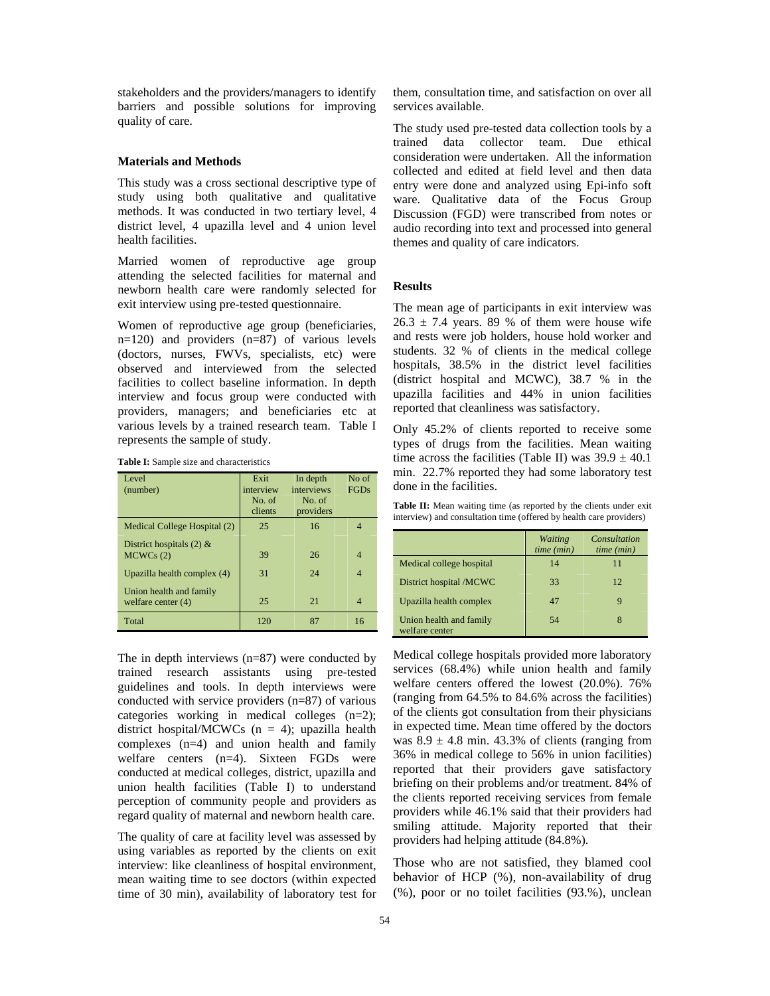stakeholders and the providers/managers to identify barriers and possible solutions for improving quality of care.

## **Materials and Methods**

This study was a cross sectional descriptive type of study using both qualitative and qualitative methods. It was conducted in two tertiary level, 4 district level, 4 upazilla level and 4 union level health facilities.

Married women of reproductive age group attending the selected facilities for maternal and newborn health care were randomly selected for exit interview using pre-tested questionnaire.

Women of reproductive age group (beneficiaries, n=120) and providers (n=87) of various levels (doctors, nurses, FWVs, specialists, etc) were observed and interviewed from the selected facilities to collect baseline information. In depth interview and focus group were conducted with providers, managers; and beneficiaries etc at various levels by a trained research team. Table I represents the sample of study.

**Table I:** Sample size and characteristics

| Level<br>(number)                               | Exit<br>interview<br>No. of<br>clients | In depth<br>interviews<br>No. of<br>providers | No of<br><b>FGDs</b>     |
|-------------------------------------------------|----------------------------------------|-----------------------------------------------|--------------------------|
| Medical College Hospital (2)                    | 25                                     | 16                                            |                          |
| District hospitals $(2)$ &<br>MCWCs(2)          | 39                                     | 26                                            | $\overline{\mathcal{A}}$ |
| Upazilla health complex (4)                     | 31                                     | 24                                            | $\overline{\mathcal{A}}$ |
| Union health and family<br>welfare center $(4)$ | 25                                     | 21                                            | $\overline{\mathcal{A}}$ |
| Total                                           | 120                                    | 87                                            | 16                       |

The in depth interviews (n=87) were conducted by trained research assistants using pre-tested guidelines and tools. In depth interviews were conducted with service providers (n=87) of various categories working in medical colleges (n=2); district hospital/MCWCs  $(n = 4)$ ; upazilla health complexes (n=4) and union health and family welfare centers (n=4). Sixteen FGDs were conducted at medical colleges, district, upazilla and union health facilities (Table I) to understand perception of community people and providers as regard quality of maternal and newborn health care.

The quality of care at facility level was assessed by using variables as reported by the clients on exit interview: like cleanliness of hospital environment, mean waiting time to see doctors (within expected time of 30 min), availability of laboratory test for them, consultation time, and satisfaction on over all services available.

The study used pre-tested data collection tools by a trained data collector team. Due ethical consideration were undertaken. All the information collected and edited at field level and then data entry were done and analyzed using Epi-info soft ware. Qualitative data of the Focus Group Discussion (FGD) were transcribed from notes or audio recording into text and processed into general themes and quality of care indicators.

#### **Results**

The mean age of participants in exit interview was  $26.3 \pm 7.4$  years. 89 % of them were house wife and rests were job holders, house hold worker and students. 32 % of clients in the medical college hospitals, 38.5% in the district level facilities (district hospital and MCWC), 38.7 % in the upazilla facilities and 44% in union facilities reported that cleanliness was satisfactory.

Only 45.2% of clients reported to receive some types of drugs from the facilities. Mean waiting time across the facilities (Table II) was  $39.9 \pm 40.1$ min. 22.7% reported they had some laboratory test done in the facilities.

Table II: Mean waiting time (as reported by the clients under exit interview) and consultation time (offered by health care providers)

|                                           | <b>Waiting</b><br>time (min) | Consultation<br>time (min) |
|-------------------------------------------|------------------------------|----------------------------|
| Medical college hospital                  | 14                           | 11                         |
| District hospital /MCWC                   | 33                           | 12                         |
| Upazilla health complex                   | 47                           | 9                          |
| Union health and family<br>welfare center | 54                           | 8                          |

Medical college hospitals provided more laboratory services (68.4%) while union health and family welfare centers offered the lowest (20.0%). 76% (ranging from 64.5% to 84.6% across the facilities) of the clients got consultation from their physicians in expected time. Mean time offered by the doctors was  $8.9 \pm 4.8$  min. 43.3% of clients (ranging from 36% in medical college to 56% in union facilities) reported that their providers gave satisfactory briefing on their problems and/or treatment. 84% of the clients reported receiving services from female providers while 46.1% said that their providers had smiling attitude. Majority reported that their providers had helping attitude (84.8%).

Those who are not satisfied, they blamed cool behavior of HCP (%), non-availability of drug (%), poor or no toilet facilities (93.%), unclean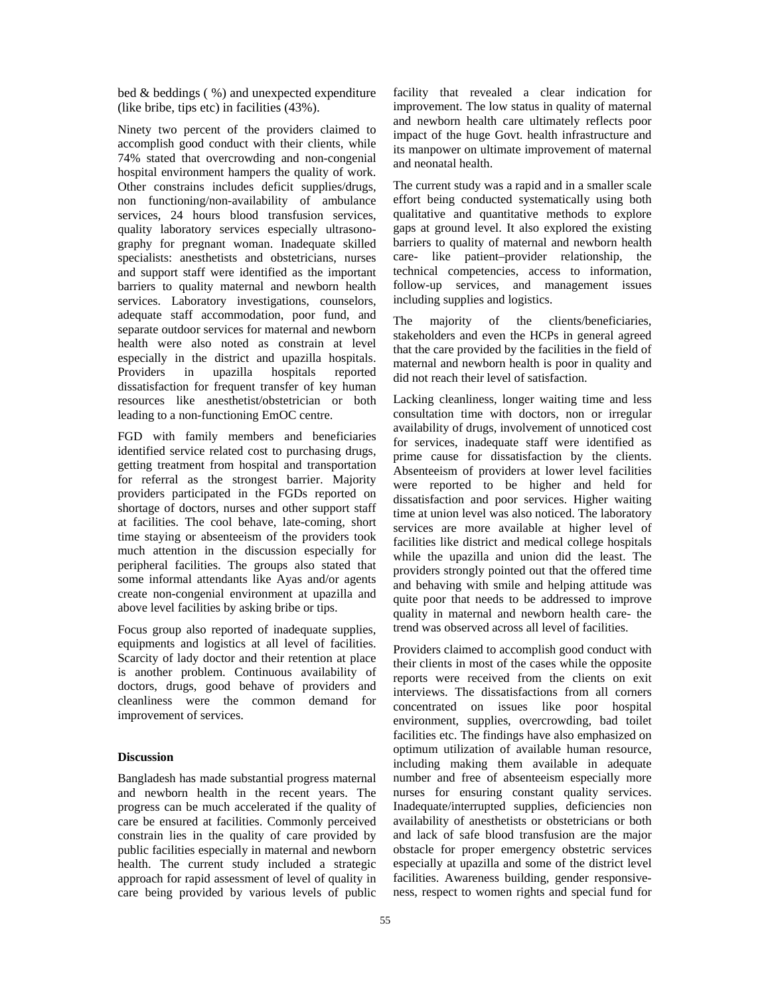bed & beddings ( %) and unexpected expenditure (like bribe, tips etc) in facilities (43%).

Ninety two percent of the providers claimed to accomplish good conduct with their clients, while 74% stated that overcrowding and non-congenial hospital environment hampers the quality of work. Other constrains includes deficit supplies/drugs, non functioning/non-availability of ambulance services, 24 hours blood transfusion services, quality laboratory services especially ultrasonography for pregnant woman. Inadequate skilled specialists: anesthetists and obstetricians, nurses and support staff were identified as the important barriers to quality maternal and newborn health services. Laboratory investigations, counselors, adequate staff accommodation, poor fund, and separate outdoor services for maternal and newborn health were also noted as constrain at level especially in the district and upazilla hospitals. Providers in upazilla hospitals reported dissatisfaction for frequent transfer of key human resources like anesthetist/obstetrician or both leading to a non-functioning EmOC centre.

FGD with family members and beneficiaries identified service related cost to purchasing drugs, getting treatment from hospital and transportation for referral as the strongest barrier. Majority providers participated in the FGDs reported on shortage of doctors, nurses and other support staff at facilities. The cool behave, late-coming, short time staying or absenteeism of the providers took much attention in the discussion especially for peripheral facilities. The groups also stated that some informal attendants like Ayas and/or agents create non-congenial environment at upazilla and above level facilities by asking bribe or tips.

Focus group also reported of inadequate supplies, equipments and logistics at all level of facilities. Scarcity of lady doctor and their retention at place is another problem. Continuous availability of doctors, drugs, good behave of providers and cleanliness were the common demand for improvement of services.

# **Discussion**

Bangladesh has made substantial progress maternal and newborn health in the recent years. The progress can be much accelerated if the quality of care be ensured at facilities. Commonly perceived constrain lies in the quality of care provided by public facilities especially in maternal and newborn health. The current study included a strategic approach for rapid assessment of level of quality in care being provided by various levels of public facility that revealed a clear indication for improvement. The low status in quality of maternal and newborn health care ultimately reflects poor impact of the huge Govt. health infrastructure and its manpower on ultimate improvement of maternal and neonatal health.

The current study was a rapid and in a smaller scale effort being conducted systematically using both qualitative and quantitative methods to explore gaps at ground level. It also explored the existing barriers to quality of maternal and newborn health care- like patient–provider relationship, the technical competencies, access to information, follow-up services, and management issues including supplies and logistics.

The majority of the clients/beneficiaries, stakeholders and even the HCPs in general agreed that the care provided by the facilities in the field of maternal and newborn health is poor in quality and did not reach their level of satisfaction.

Lacking cleanliness, longer waiting time and less consultation time with doctors, non or irregular availability of drugs, involvement of unnoticed cost for services, inadequate staff were identified as prime cause for dissatisfaction by the clients. Absenteeism of providers at lower level facilities were reported to be higher and held for dissatisfaction and poor services. Higher waiting time at union level was also noticed. The laboratory services are more available at higher level of facilities like district and medical college hospitals while the upazilla and union did the least. The providers strongly pointed out that the offered time and behaving with smile and helping attitude was quite poor that needs to be addressed to improve quality in maternal and newborn health care- the trend was observed across all level of facilities.

Providers claimed to accomplish good conduct with their clients in most of the cases while the opposite reports were received from the clients on exit interviews. The dissatisfactions from all corners concentrated on issues like poor hospital environment, supplies, overcrowding, bad toilet facilities etc. The findings have also emphasized on optimum utilization of available human resource, including making them available in adequate number and free of absenteeism especially more nurses for ensuring constant quality services. Inadequate/interrupted supplies, deficiencies non availability of anesthetists or obstetricians or both and lack of safe blood transfusion are the major obstacle for proper emergency obstetric services especially at upazilla and some of the district level facilities. Awareness building, gender responsiveness, respect to women rights and special fund for